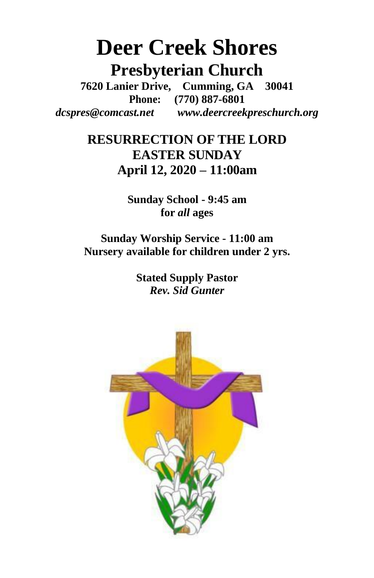# **Deer Creek Shores Presbyterian Church**

**7620 Lanier Drive, Cumming, GA 30041 Phone: (770) 887-6801** *[dcspres@comcast.net](mailto:dcspres@comcast.net) [www.deercreekpreschurch.org](http://www.deercreekpreschurch.org/)*

> **RESURRECTION OF THE LORD EASTER SUNDAY April 12, 2020 – 11:00am**

> > **Sunday School - 9:45 am for** *all* **ages**

**Sunday Worship Service - 11:00 am Nursery available for children under 2 yrs.**

> **Stated Supply Pastor** *Rev. Sid Gunter*

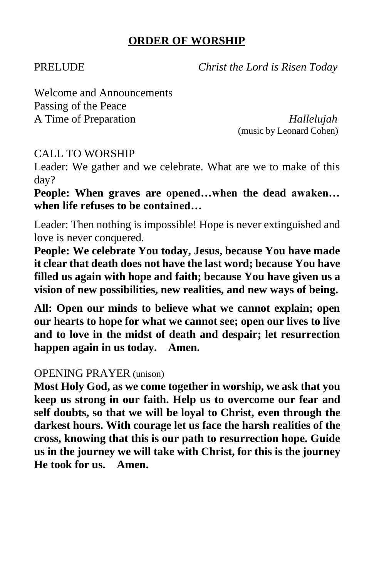### **ORDER OF WORSHIP**

PRELUDE *Christ the Lord is Risen Today*

Welcome and Announcements Passing of the Peace A Time of Preparation *Hallelujah*

(music by Leonard Cohen)

### CALL TO WORSHIP

Leader: We gather and we celebrate. What are we to make of this day?

**People: When graves are opened…when the dead awaken… when life refuses to be contained…**

Leader: Then nothing is impossible! Hope is never extinguished and love is never conquered.

**People: We celebrate You today, Jesus, because You have made it clear that death does not have the last word; because You have filled us again with hope and faith; because You have given us a vision of new possibilities, new realities, and new ways of being.**

**All: Open our minds to believe what we cannot explain; open our hearts to hope for what we cannot see; open our lives to live and to love in the midst of death and despair; let resurrection happen again in us today. Amen.**

### OPENING PRAYER (unison)

**Most Holy God, as we come together in worship, we ask that you keep us strong in our faith. Help us to overcome our fear and self doubts, so that we will be loyal to Christ, even through the darkest hours. With courage let us face the harsh realities of the cross, knowing that this is our path to resurrection hope. Guide us in the journey we will take with Christ, for this is the journey He took for us. Amen.**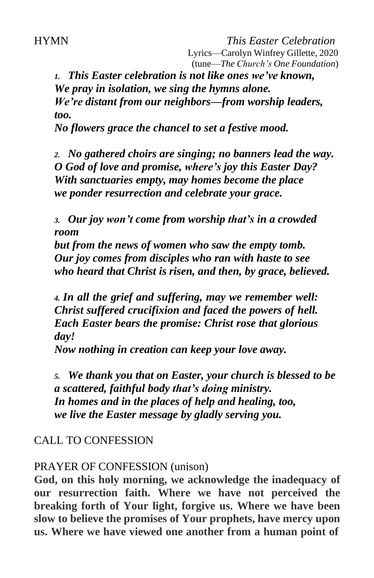HYMN *This Easter Celebration* Lyrics—Carolyn Winfrey Gillette, 2020 (tune—*The Church's One Foundation*)

*1. This Easter celebration is not like ones we've known, We pray in isolation, we sing the hymns alone. We're distant from our neighbors—from worship leaders, too.*

*No flowers grace the chancel to set a festive mood.*

*2. No gathered choirs are singing; no banners lead the way. O God of love and promise, where's joy this Easter Day? With sanctuaries empty, may homes become the place we ponder resurrection and celebrate your grace.*

*3. Our joy won't come from worship that's in a crowded room*

*but from the news of women who saw the empty tomb. Our joy comes from disciples who ran with haste to see who heard that Christ is risen, and then, by grace, believed.*

*4. In all the grief and suffering, may we remember well: Christ suffered crucifixion and faced the powers of hell. Each Easter bears the promise: Christ rose that glorious day!*

*Now nothing in creation can keep your love away.*

*5. We thank you that on Easter, your church is blessed to be a scattered, faithful body that's doing ministry. In homes and in the places of help and healing, too, we live the Easter message by gladly serving you.*

### CALL TO CONFESSION

### PRAYER OF CONFESSION (unison)

**God, on this holy morning, we acknowledge the inadequacy of our resurrection faith. Where we have not perceived the breaking forth of Your light, forgive us. Where we have been slow to believe the promises of Your prophets, have mercy upon us. Where we have viewed one another from a human point of**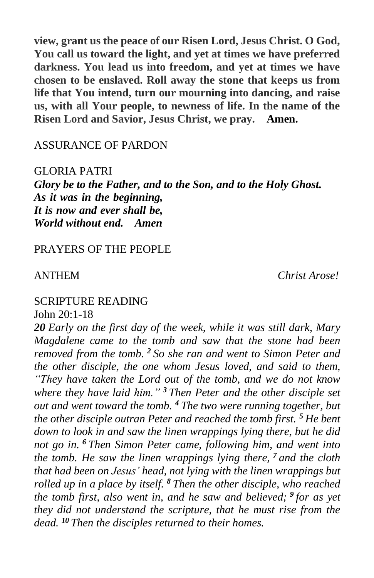**view, grant us the peace of our Risen Lord, Jesus Christ. O God, You call us toward the light, and yet at times we have preferred darkness. You lead us into freedom, and yet at times we have chosen to be enslaved. Roll away the stone that keeps us from life that You intend, turn our mourning into dancing, and raise us, with all Your people, to newness of life. In the name of the Risen Lord and Savior, Jesus Christ, we pray. Amen.**

### ASSURANCE OF PARDON

### GLORIA PATRI

*Glory be to the Father, and to the Son, and to the Holy Ghost. As it was in the beginning, It is now and ever shall be, World without end. Amen*

### PRAYERS OF THE PEOPLE

ANTHEM *Christ Arose!*

### SCRIPTURE READING

John 20:1-18

*20 Early on the first day of the week, while it was still dark, Mary Magdalene came to the tomb and saw that the stone had been removed from the tomb. <sup>2</sup> So she ran and went to Simon Peter and the other disciple, the one whom Jesus loved, and said to them, "They have taken the Lord out of the tomb, and we do not know where they have laid him." <sup>3</sup> Then Peter and the other disciple set out and went toward the tomb. <sup>4</sup> The two were running together, but the other disciple outran Peter and reached the tomb first. <sup>5</sup> He bent down to look in and saw the linen wrappings lying there, but he did not go in. <sup>6</sup> Then Simon Peter came, following him, and went into the tomb. He saw the linen wrappings lying there, <sup>7</sup> and the cloth that had been on Jesus' head, not lying with the linen wrappings but rolled up in a place by itself. <sup>8</sup> Then the other disciple, who reached the tomb first, also went in, and he saw and believed; <sup>9</sup> for as yet they did not understand the scripture, that he must rise from the dead. <sup>10</sup> Then the disciples returned to their homes.*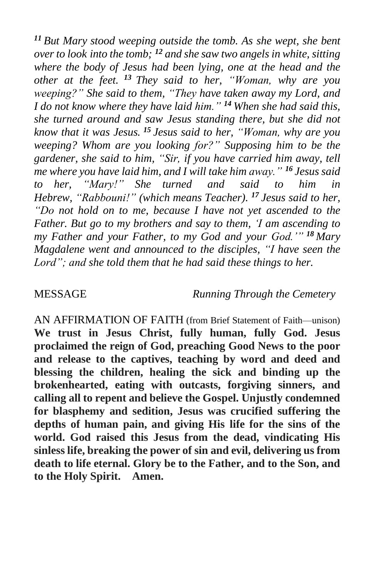*<sup>11</sup>But Mary stood weeping outside the tomb. As she wept, she bent over to look into the tomb; <sup>12</sup> and she saw two angels in white, sitting where the body of Jesus had been lying, one at the head and the other at the feet. <sup>13</sup> They said to her, "Woman, why are you weeping?" She said to them, "They have taken away my Lord, and I do not know where they have laid him." <sup>14</sup> When she had said this, she turned around and saw Jesus standing there, but she did not know that it was Jesus. <sup>15</sup> Jesus said to her, "Woman, why are you weeping? Whom are you looking for?" Supposing him to be the gardener, she said to him, "Sir, if you have carried him away, tell me where you have laid him, and I will take him away." <sup>16</sup> Jesus said to her, "Mary!" She turned and said to him in Hebrew, "Rabbouni!" (which means Teacher). <sup>17</sup> Jesus said to her, "Do not hold on to me, because I have not yet ascended to the Father. But go to my brothers and say to them, 'I am ascending to my Father and your Father, to my God and your God.'" <sup>18</sup> Mary Magdalene went and announced to the disciples, "I have seen the Lord"; and she told them that he had said these things to her.*

MESSAGE *Running Through the Cemetery*

AN AFFIRMATION OF FAITH (from Brief Statement of Faith—unison) **We trust in Jesus Christ, fully human, fully God. Jesus proclaimed the reign of God, preaching Good News to the poor and release to the captives, teaching by word and deed and blessing the children, healing the sick and binding up the brokenhearted, eating with outcasts, forgiving sinners, and calling all to repent and believe the Gospel. Unjustly condemned for blasphemy and sedition, Jesus was crucified suffering the depths of human pain, and giving His life for the sins of the world. God raised this Jesus from the dead, vindicating His sinless life, breaking the power of sin and evil, delivering us from death to life eternal. Glory be to the Father, and to the Son, and to the Holy Spirit. Amen.**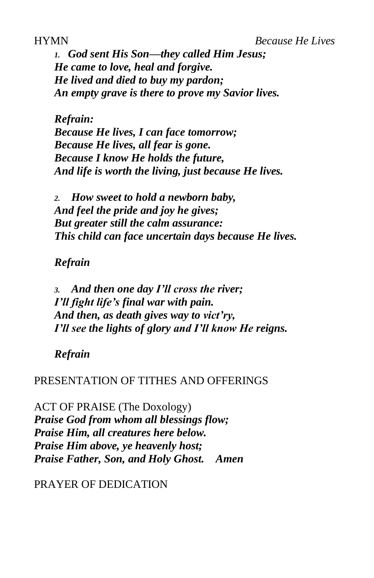HYMN *Because He Lives*

*1. God sent His Son—they called Him Jesus; He came to love, heal and forgive. He lived and died to buy my pardon; An empty grave is there to prove my Savior lives.*

*Refrain: Because He lives, I can face tomorrow; Because He lives, all fear is gone. Because I know He holds the future, And life is worth the living, just because He lives.*

*2. How sweet to hold a newborn baby, And feel the pride and joy he gives; But greater still the calm assurance: This child can face uncertain days because He lives.*

### *Refrain*

*3. And then one day I'll cross the river; I'll fight life's final war with pain. And then, as death gives way to vict'ry, I'll see the lights of glory and I'll know He reigns.*

### *Refrain*

### PRESENTATION OF TITHES AND OFFERINGS

ACT OF PRAISE (The Doxology) *Praise God from whom all blessings flow; Praise Him, all creatures here below. Praise Him above, ye heavenly host; Praise Father, Son, and Holy Ghost. Amen*

PRAYER OF DEDICATION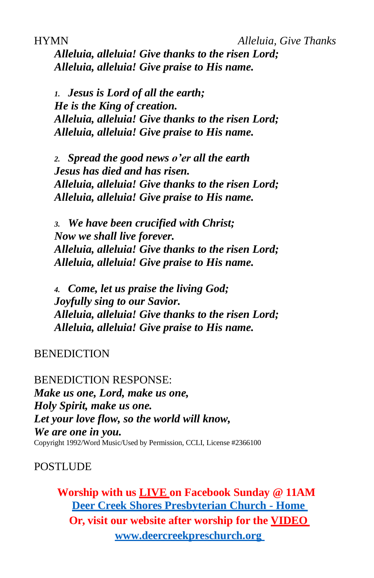HYMN *Alleluia, Give Thanks*

*Alleluia, alleluia! Give thanks to the risen Lord; Alleluia, alleluia! Give praise to His name.*

*1. Jesus is Lord of all the earth; He is the King of creation. Alleluia, alleluia! Give thanks to the risen Lord; Alleluia, alleluia! Give praise to His name.*

*2. Spread the good news o'er all the earth Jesus has died and has risen. Alleluia, alleluia! Give thanks to the risen Lord; Alleluia, alleluia! Give praise to His name.*

*3. We have been crucified with Christ; Now we shall live forever. Alleluia, alleluia! Give thanks to the risen Lord; Alleluia, alleluia! Give praise to His name.*

*4. Come, let us praise the living God; Joyfully sing to our Savior. Alleluia, alleluia! Give thanks to the risen Lord; Alleluia, alleluia! Give praise to His name.*

**BENEDICTION** 

BENEDICTION RESPONSE: *Make us one, Lord, make us one, Holy Spirit, make us one. Let your love flow, so the world will know, We are one in you.* Copyright 1992/Word Music/Used by Permission, CCLI, License #2366100

**POSTLUDE** 

**Worship with us LIVE on Facebook Sunday @ 11AM Deer Creek Shores [Presbyterian](https://www.facebook.com/Deercreekshorespresbyterianchurch/) Church - Home Or, visit our website after worship for the VIDEO [www.deercreekpreschurch.org](http://www.deercreekpreschurch.org/)**